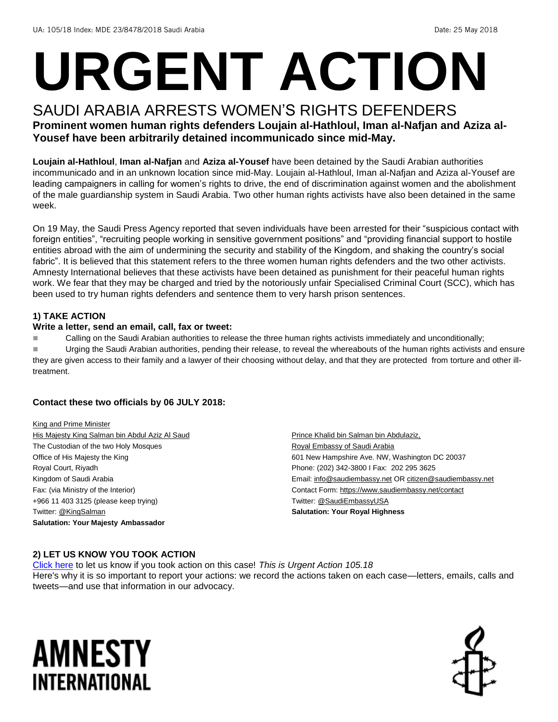# **URGENT ACTION**

#### SAUDI ARABIA ARRESTS WOMEN'S RIGHTS DEFENDERS **Prominent women human rights defenders Loujain al-Hathloul, Iman al-Nafjan and Aziza al-Yousef have been arbitrarily detained incommunicado since mid-May.**

**Loujain al-Hathloul**, **Iman al-Nafjan** and **Aziza al-Yousef** have been detained by the Saudi Arabian authorities incommunicado and in an unknown location since mid-May. Loujain al-Hathloul, Iman al-Nafjan and Aziza al-Yousef are leading campaigners in calling for women's rights to drive, the end of discrimination against women and the abolishment of the male guardianship system in Saudi Arabia. Two other human rights activists have also been detained in the same week.

On 19 May, the Saudi Press Agency reported that seven individuals have been arrested for their "suspicious contact with foreign entities", "recruiting people working in sensitive government positions" and "providing financial support to hostile entities abroad with the aim of undermining the security and stability of the Kingdom, and shaking the country's social fabric". It is believed that this statement refers to the three women human rights defenders and the two other activists. Amnesty International believes that these activists have been detained as punishment for their peaceful human rights work. We fear that they may be charged and tried by the notoriously unfair Specialised Criminal Court (SCC), which has been used to try human rights defenders and sentence them to very harsh prison sentences.

#### **1) TAKE ACTION**

#### **Write a letter, send an email, call, fax or tweet:**

Calling on the Saudi Arabian authorities to release the three human rights activists immediately and unconditionally;

Urging the Saudi Arabian authorities, pending their release, to reveal the whereabouts of the human rights activists and ensure they are given access to their family and a lawyer of their choosing without delay, and that they are protected from torture and other illtreatment.

#### **Contact these two officials by 06 JULY 2018:**

King and Prime Minister His Majesty King Salman bin Abdul Aziz Al Saud The Custodian of the two Holy Mosques Office of His Majesty the King Royal Court, Riyadh Kingdom of Saudi Arabia Fax: (via Ministry of the Interior) +966 11 403 3125 (please keep trying) Twitter[: @KingSalman](https://twitter.com/kingsalman?lang=en) **Salutation: Your Majesty Ambassador**

Prince Khalid bin Salman bin Abdulaziz, Royal Embassy of Saudi Arabia 601 New Hampshire Ave. NW, Washington DC 20037 Phone: (202) 342-3800 I Fax: 202 295 3625 Email[: info@saudiembassy.net](mailto:info@saudiembassy.net) O[R citizen@saudiembassy.net](mailto:citizen@saudiembassy.net) Contact Form:<https://www.saudiembassy.net/contact> Twitter[: @SaudiEmbassyUSA](https://twitter.com/SaudiEmbassyUSA?ref_src=twsrc%5Egoogle%7Ctwcamp%5Eserp%7Ctwgr%5Eauthor) **Salutation: Your Royal Highness**

#### **2) LET US KNOW YOU TOOK ACTION**

[Click here](https://www.amnestyusa.org/report-urgent-actions/) to let us know if you took action on this case! *This is Urgent Action 105.18* Here's why it is so important to report your actions: we record the actions taken on each case—letters, emails, calls and tweets—and use that information in our advocacy.

### AMNESTY INTERNATIONAL